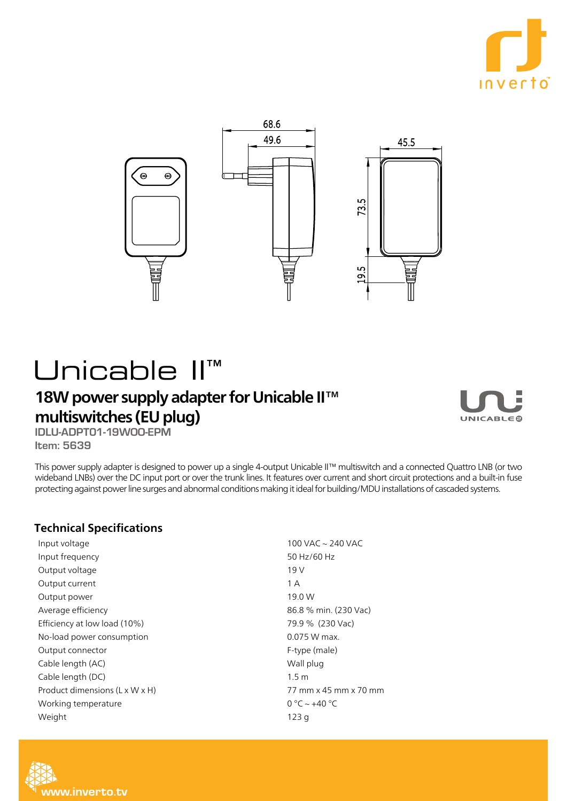



## Unicable II<sup>™</sup>

## 18W power supply adapter for Unicable II™ multiswitches (EU plug)



**IDLU-ADPT01-19WOO-EPM 5639 :Item**

This power supply adapter is designed to power up a single 4-output Unicable II™ multiswitch and a connected Ouattro LNB (or two wideband LNBs) over the DC input port or over the trunk lines. It features over current and short circuit protections and a built-in fuse protecting against power line surges and abnormal conditions making it ideal for building/MDU installations of cascaded systems.

## **Technical Specifications**

Input voltage Input frequency Output voltage Output current Output power Average efficiency Efficiency at low load (10%) No-load power consumption Output connector Cable length (AC) Cable length (DC) Product dimensions (L x W x H) Working temperature Weight

 $100$  VAC  $\sim$  240 VAC 50 Hz/60 Hz  $19V$ A 1 19.0 W 86.8 % min. (230 Vac) 79.9 % (230 Vac)  $0.075$  W max. F-type (male) Wall plug 1.5 m 77 mm x 45 mm x 70 mm  $0 °C \sim +40 °C$ 123 g